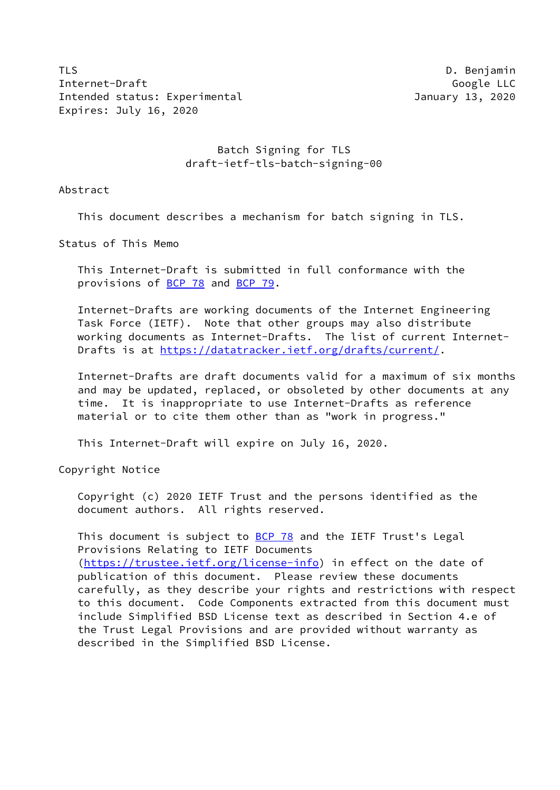TLS **D. Benjamin** Internet-Draft Google LLC Intended status: Experimental January 13, 2020 Expires: July 16, 2020

# Batch Signing for TLS draft-ietf-tls-batch-signing-00

Abstract

This document describes a mechanism for batch signing in TLS.

Status of This Memo

 This Internet-Draft is submitted in full conformance with the provisions of [BCP 78](https://datatracker.ietf.org/doc/pdf/bcp78) and [BCP 79](https://datatracker.ietf.org/doc/pdf/bcp79).

 Internet-Drafts are working documents of the Internet Engineering Task Force (IETF). Note that other groups may also distribute working documents as Internet-Drafts. The list of current Internet- Drafts is at<https://datatracker.ietf.org/drafts/current/>.

 Internet-Drafts are draft documents valid for a maximum of six months and may be updated, replaced, or obsoleted by other documents at any time. It is inappropriate to use Internet-Drafts as reference material or to cite them other than as "work in progress."

This Internet-Draft will expire on July 16, 2020.

Copyright Notice

 Copyright (c) 2020 IETF Trust and the persons identified as the document authors. All rights reserved.

This document is subject to **[BCP 78](https://datatracker.ietf.org/doc/pdf/bcp78)** and the IETF Trust's Legal Provisions Relating to IETF Documents [\(https://trustee.ietf.org/license-info](https://trustee.ietf.org/license-info)) in effect on the date of publication of this document. Please review these documents carefully, as they describe your rights and restrictions with respect to this document. Code Components extracted from this document must include Simplified BSD License text as described in Section 4.e of the Trust Legal Provisions and are provided without warranty as described in the Simplified BSD License.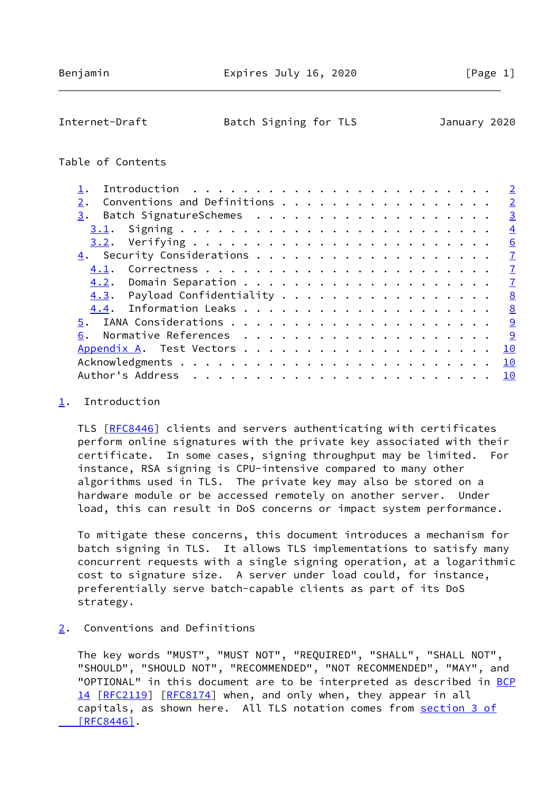# <span id="page-1-1"></span>Internet-Draft Batch Signing for TLS January 2020

#### Table of Contents

|                              | $\overline{2}$ |
|------------------------------|----------------|
| Conventions and Definitions  | $\overline{2}$ |
| 3.                           | $\overline{3}$ |
| 3.1.                         | $\overline{4}$ |
|                              | 6              |
|                              | $\mathbf{Z}$   |
| 4.1.                         | $\mathbf{Z}$   |
|                              | $\mathbf{Z}$   |
| 4.3. Payload Confidentiality | 8              |
|                              | 8              |
|                              |                |
| 6.                           | 9              |
|                              | 10             |
|                              | 10             |
|                              | 10             |
|                              |                |

#### <span id="page-1-0"></span>[1](#page-1-0). Introduction

 TLS [\[RFC8446](https://datatracker.ietf.org/doc/pdf/rfc8446)] clients and servers authenticating with certificates perform online signatures with the private key associated with their certificate. In some cases, signing throughput may be limited. For instance, RSA signing is CPU-intensive compared to many other algorithms used in TLS. The private key may also be stored on a hardware module or be accessed remotely on another server. Under load, this can result in DoS concerns or impact system performance.

 To mitigate these concerns, this document introduces a mechanism for batch signing in TLS. It allows TLS implementations to satisfy many concurrent requests with a single signing operation, at a logarithmic cost to signature size. A server under load could, for instance, preferentially serve batch-capable clients as part of its DoS strategy.

# <span id="page-1-2"></span>[2](#page-1-2). Conventions and Definitions

 The key words "MUST", "MUST NOT", "REQUIRED", "SHALL", "SHALL NOT", "SHOULD", "SHOULD NOT", "RECOMMENDED", "NOT RECOMMENDED", "MAY", and "OPTIONAL" in this document are to be interpreted as described in [BCP](https://datatracker.ietf.org/doc/pdf/bcp14) [14](https://datatracker.ietf.org/doc/pdf/bcp14) [[RFC2119\]](https://datatracker.ietf.org/doc/pdf/rfc2119) [\[RFC8174](https://datatracker.ietf.org/doc/pdf/rfc8174)] when, and only when, they appear in all capitals, as shown here. All TLS notation comes from [section](https://datatracker.ietf.org/doc/pdf/rfc8446#section-3) 3 of  [\[RFC8446\]](https://datatracker.ietf.org/doc/pdf/rfc8446#section-3).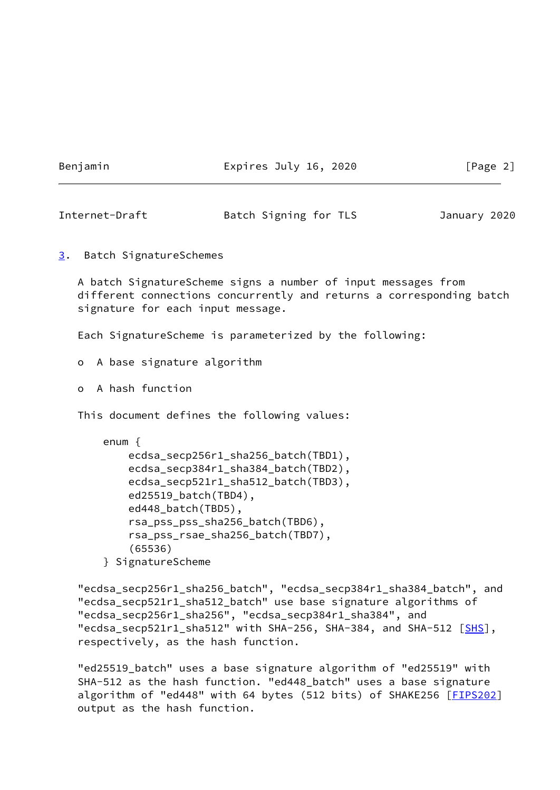Benjamin Expires July 16, 2020 [Page 2]

<span id="page-2-1"></span>Internet-Draft Batch Signing for TLS January 2020

<span id="page-2-0"></span>[3](#page-2-0). Batch SignatureSchemes

 A batch SignatureScheme signs a number of input messages from different connections concurrently and returns a corresponding batch signature for each input message.

Each SignatureScheme is parameterized by the following:

o A base signature algorithm

o A hash function

This document defines the following values:

```
 enum {
ecdsa_secp256r1_sha256_batch(TBD1),
ecdsa_secp384r1_sha384_batch(TBD2),
ecdsa_secp521r1_sha512_batch(TBD3),
ed25519_batch(TBD4),
ed448_batch(TBD5),
rsa_pss_pss_sha256_batch(TBD6),
rsa_pss_rsae_sha256_batch(TBD7),
(65536)
```
} SignatureScheme

 "ecdsa\_secp256r1\_sha256\_batch", "ecdsa\_secp384r1\_sha384\_batch", and "ecdsa\_secp521r1\_sha512\_batch" use base signature algorithms of "ecdsa\_secp256r1\_sha256", "ecdsa\_secp384r1\_sha384", and "ecdsa\_secp521r1\_sha512" with SHA-256, SHA-384, and SHA-512 [\[SHS](#page-9-3)], respectively, as the hash function.

 "ed25519\_batch" uses a base signature algorithm of "ed25519" with SHA-512 as the hash function. "ed448\_batch" uses a base signature algorithm of "ed448" with 64 bytes (512 bits) of SHAKE256 [[FIPS202](#page-9-4)] output as the hash function.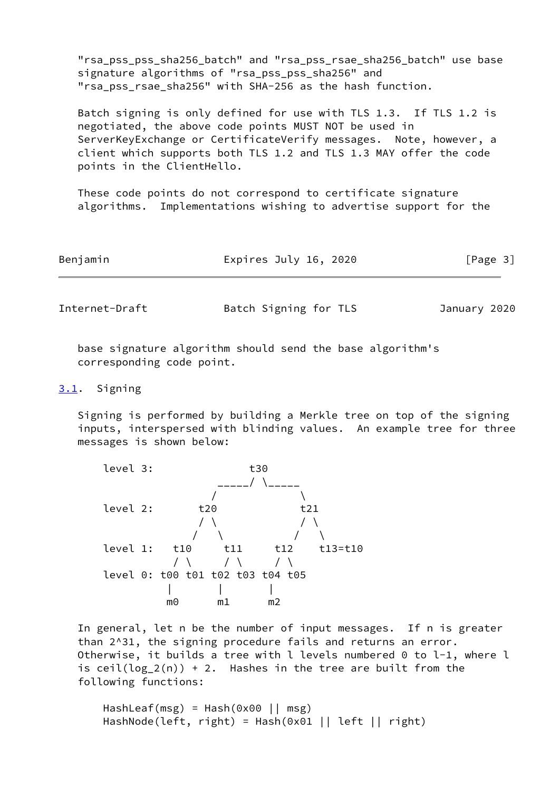"rsa\_pss\_pss\_sha256\_batch" and "rsa\_pss\_rsae\_sha256\_batch" use base signature algorithms of "rsa\_pss\_pss\_sha256" and "rsa pss rsae sha256" with SHA-256 as the hash function.

 Batch signing is only defined for use with TLS 1.3. If TLS 1.2 is negotiated, the above code points MUST NOT be used in ServerKeyExchange or CertificateVerify messages. Note, however, a client which supports both TLS 1.2 and TLS 1.3 MAY offer the code points in the ClientHello.

 These code points do not correspond to certificate signature algorithms. Implementations wishing to advertise support for the

| Benjamin | Expires July 16, 2020 | [Page 3] |
|----------|-----------------------|----------|
|          |                       |          |

<span id="page-3-1"></span>Internet-Draft Batch Signing for TLS January 2020

 base signature algorithm should send the base algorithm's corresponding code point.

#### <span id="page-3-0"></span>[3.1](#page-3-0). Signing

 Signing is performed by building a Merkle tree on top of the signing inputs, interspersed with blinding values. An example tree for three messages is shown below:



 In general, let n be the number of input messages. If n is greater than 2^31, the signing procedure fails and returns an error. Otherwise, it builds a tree with l levels numbered 0 to l-1, where l is ceil( $log_2(n)$ ) + 2. Hashes in the tree are built from the following functions:

 HashLeaf(msg) = Hash(0x00 || msg) HashNode(left, right) = Hash(0x01 || left || right)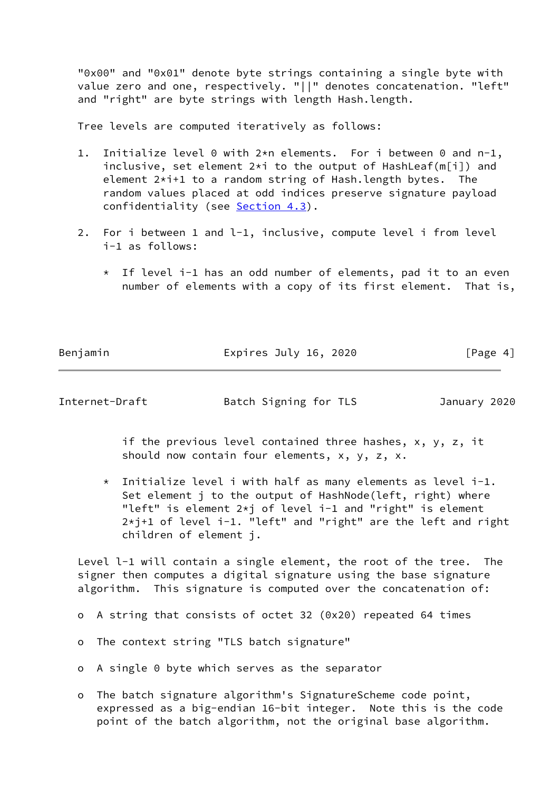"0x00" and "0x01" denote byte strings containing a single byte with value zero and one, respectively. "||" denotes concatenation. "left" and "right" are byte strings with length Hash.length.

Tree levels are computed iteratively as follows:

- 1. Initialize level 0 with 2\*n elements. For i between 0 and n-1, inclusive, set element 2\*i to the output of HashLeaf(m[i]) and element 2\*i+1 to a random string of Hash.length bytes. The random values placed at odd indices preserve signature payload confidentiality (see [Section 4.3](#page-8-0)).
- 2. For i between 1 and l-1, inclusive, compute level i from level i-1 as follows:
	- \* If level i-1 has an odd number of elements, pad it to an even number of elements with a copy of its first element. That is,

Benjamin **Expires July 16, 2020** [Page 4]

Internet-Draft Batch Signing for TLS January 2020

 if the previous level contained three hashes, x, y, z, it should now contain four elements, x, y, z, x.

 $*$  Initialize level i with half as many elements as level i-1. Set element j to the output of HashNode(left, right) where "left" is element 2\*j of level i-1 and "right" is element 2\*j+1 of level i-1. "left" and "right" are the left and right children of element j.

Level 1-1 will contain a single element, the root of the tree. The signer then computes a digital signature using the base signature algorithm. This signature is computed over the concatenation of:

- o A string that consists of octet 32 (0x20) repeated 64 times
- o The context string "TLS batch signature"
- o A single 0 byte which serves as the separator
- o The batch signature algorithm's SignatureScheme code point, expressed as a big-endian 16-bit integer. Note this is the code point of the batch algorithm, not the original base algorithm.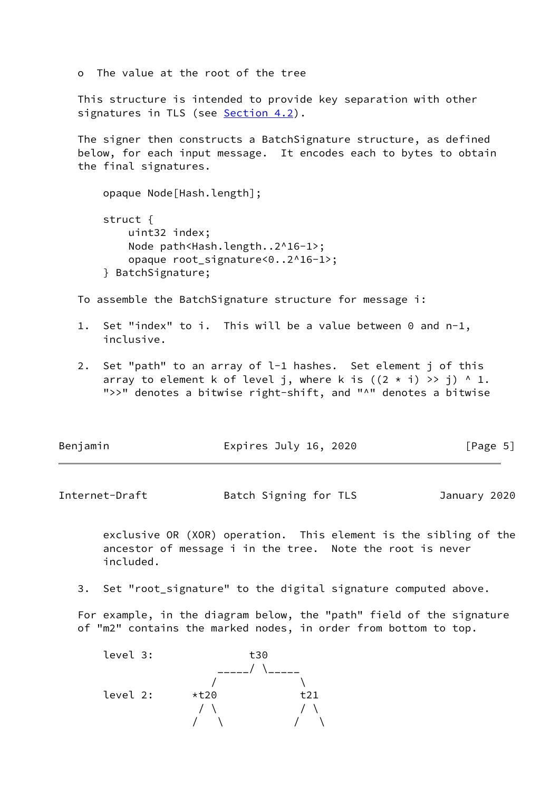o The value at the root of the tree

 This structure is intended to provide key separation with other signatures in TLS (see [Section 4.2](#page-7-2)).

 The signer then constructs a BatchSignature structure, as defined below, for each input message. It encodes each to bytes to obtain the final signatures.

 opaque Node[Hash.length]; struct { uint32 index; Node path<Hash.length..2^16-1>; opaque root\_signature<0..2^16-1>; } BatchSignature;

To assemble the BatchSignature structure for message i:

- 1. Set "index" to i. This will be a value between 0 and n-1, inclusive.
- 2. Set "path" to an array of l-1 hashes. Set element j of this array to element k of level j, where k is  $((2 * i) \gg j)$  ^ 1. ">>" denotes a bitwise right-shift, and "^" denotes a bitwise

| Benjamin | Expires July 16, 2020 | [Page 5] |
|----------|-----------------------|----------|
|          |                       |          |

<span id="page-5-0"></span>Internet-Draft Batch Signing for TLS January 2020

 exclusive OR (XOR) operation. This element is the sibling of the ancestor of message i in the tree. Note the root is never included.

3. Set "root\_signature" to the digital signature computed above.

 For example, in the diagram below, the "path" field of the signature of "m2" contains the marked nodes, in order from bottom to top.

 level 3: t30 \_\_\_\_\_/ \\_\_\_\_\_  $\sqrt{ }$  level 2: \*t20 t21  $\sqrt{ \ }$  $\begin{array}{c} \n \diagup / \diagup \diagdown \bigwedge \ \diagdown / \diagup \diagdown \bigwedge \end{array}$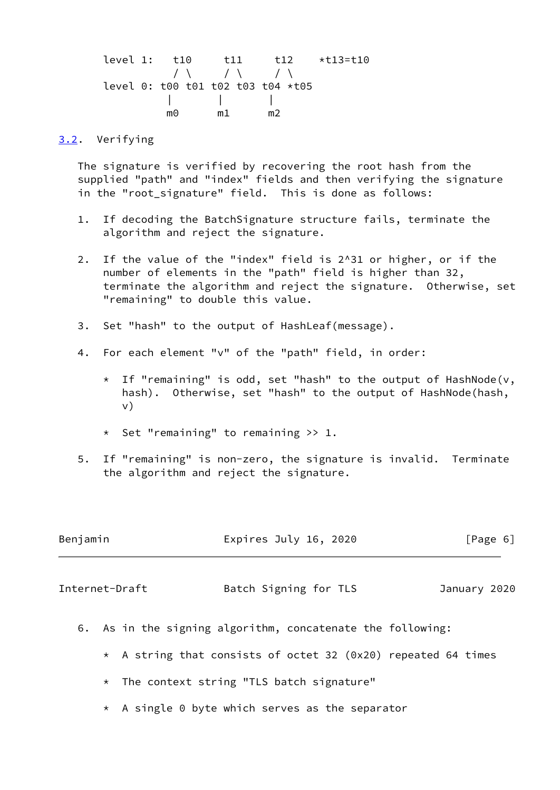level 1: t10 t11 t12 \*t13=t10  $\sqrt{2}$  / \ / \ / \ level 0: t00 t01 t02 t03 t04 \*t05 | | | m0 m1 m2

#### <span id="page-6-0"></span>[3.2](#page-6-0). Verifying

 The signature is verified by recovering the root hash from the supplied "path" and "index" fields and then verifying the signature in the "root\_signature" field. This is done as follows:

- 1. If decoding the BatchSignature structure fails, terminate the algorithm and reject the signature.
- 2. If the value of the "index" field is 2^31 or higher, or if the number of elements in the "path" field is higher than 32, terminate the algorithm and reject the signature. Otherwise, set "remaining" to double this value.
- 3. Set "hash" to the output of HashLeaf(message).
- 4. For each element "v" of the "path" field, in order:
	- \* If "remaining" is odd, set "hash" to the output of HashNode(v, hash). Otherwise, set "hash" to the output of HashNode(hash, v)
	- \* Set "remaining" to remaining >> 1.
- 5. If "remaining" is non-zero, the signature is invalid. Terminate the algorithm and reject the signature.

<span id="page-6-1"></span>

| Benjamin       |                                                               | Expires July 16, 2020 |  | [Page 6]     |  |
|----------------|---------------------------------------------------------------|-----------------------|--|--------------|--|
| Internet-Draft |                                                               | Batch Signing for TLS |  | January 2020 |  |
|                | 6. As in the signing algorithm, concatenate the following:    |                       |  |              |  |
|                | * A string that consists of octet 32 (0x20) repeated 64 times |                       |  |              |  |
|                | * The context string "TLS batch signature"                    |                       |  |              |  |

- 
- \* A single 0 byte which serves as the separator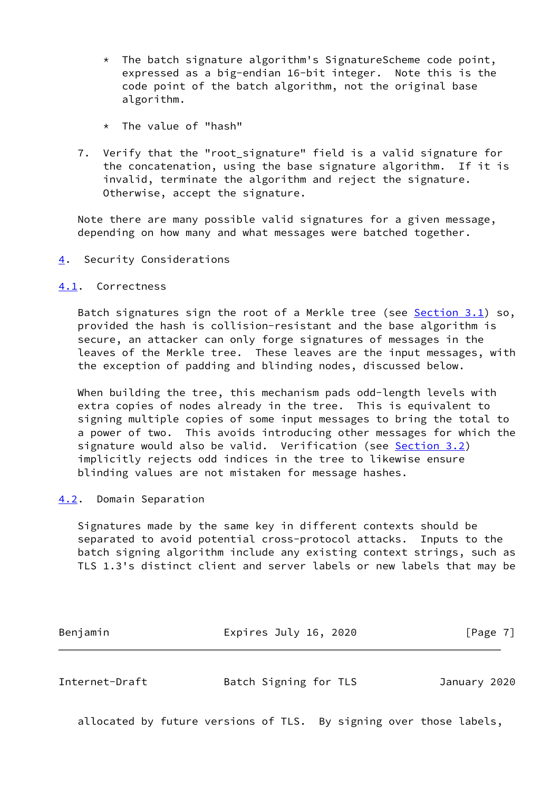- $*$  The batch signature algorithm's SignatureScheme code point, expressed as a big-endian 16-bit integer. Note this is the code point of the batch algorithm, not the original base algorithm.
- \* The value of "hash"
- 7. Verify that the "root\_signature" field is a valid signature for the concatenation, using the base signature algorithm. If it is invalid, terminate the algorithm and reject the signature. Otherwise, accept the signature.

 Note there are many possible valid signatures for a given message, depending on how many and what messages were batched together.

<span id="page-7-0"></span>[4](#page-7-0). Security Considerations

## <span id="page-7-1"></span>[4.1](#page-7-1). Correctness

 Batch signatures sign the root of a Merkle tree (see [Section 3.1](#page-3-0)) so, provided the hash is collision-resistant and the base algorithm is secure, an attacker can only forge signatures of messages in the leaves of the Merkle tree. These leaves are the input messages, with the exception of padding and blinding nodes, discussed below.

 When building the tree, this mechanism pads odd-length levels with extra copies of nodes already in the tree. This is equivalent to signing multiple copies of some input messages to bring the total to a power of two. This avoids introducing other messages for which the signature would also be valid. Verification (see [Section 3.2](#page-6-0)) implicitly rejects odd indices in the tree to likewise ensure blinding values are not mistaken for message hashes.

# <span id="page-7-2"></span>[4.2](#page-7-2). Domain Separation

 Signatures made by the same key in different contexts should be separated to avoid potential cross-protocol attacks. Inputs to the batch signing algorithm include any existing context strings, such as TLS 1.3's distinct client and server labels or new labels that may be

<span id="page-7-3"></span>

| Benjamin       | Expires July 16, 2020 | $\lceil \text{Page } 7 \rceil$ |  |
|----------------|-----------------------|--------------------------------|--|
|                |                       |                                |  |
| Internet-Draft | Batch Signing for TLS | January 2020                   |  |

allocated by future versions of TLS. By signing over those labels,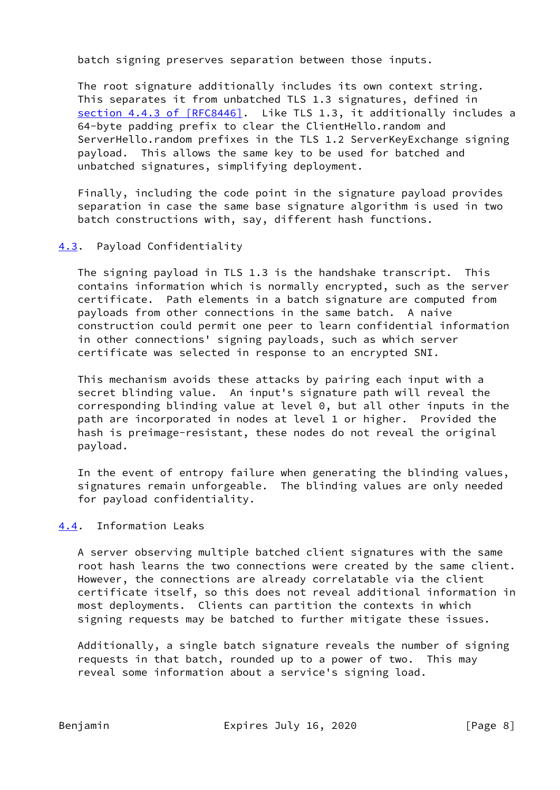batch signing preserves separation between those inputs.

 The root signature additionally includes its own context string. This separates it from unbatched TLS 1.3 signatures, defined in section [4.4.3 of \[RFC8446\]](https://datatracker.ietf.org/doc/pdf/rfc8446#section-4.4.3). Like TLS 1.3, it additionally includes a 64-byte padding prefix to clear the ClientHello.random and ServerHello.random prefixes in the TLS 1.2 ServerKeyExchange signing payload. This allows the same key to be used for batched and unbatched signatures, simplifying deployment.

 Finally, including the code point in the signature payload provides separation in case the same base signature algorithm is used in two batch constructions with, say, different hash functions.

## <span id="page-8-0"></span>[4.3](#page-8-0). Payload Confidentiality

 The signing payload in TLS 1.3 is the handshake transcript. This contains information which is normally encrypted, such as the server certificate. Path elements in a batch signature are computed from payloads from other connections in the same batch. A naive construction could permit one peer to learn confidential information in other connections' signing payloads, such as which server certificate was selected in response to an encrypted SNI.

 This mechanism avoids these attacks by pairing each input with a secret blinding value. An input's signature path will reveal the corresponding blinding value at level 0, but all other inputs in the path are incorporated in nodes at level 1 or higher. Provided the hash is preimage-resistant, these nodes do not reveal the original payload.

 In the event of entropy failure when generating the blinding values, signatures remain unforgeable. The blinding values are only needed for payload confidentiality.

#### <span id="page-8-1"></span>[4.4](#page-8-1). Information Leaks

 A server observing multiple batched client signatures with the same root hash learns the two connections were created by the same client. However, the connections are already correlatable via the client certificate itself, so this does not reveal additional information in most deployments. Clients can partition the contexts in which signing requests may be batched to further mitigate these issues.

 Additionally, a single batch signature reveals the number of signing requests in that batch, rounded up to a power of two. This may reveal some information about a service's signing load.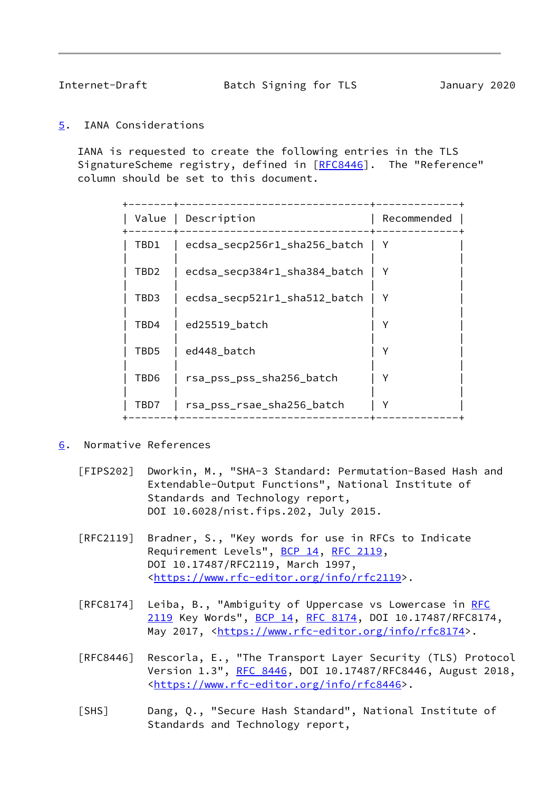<span id="page-9-1"></span>

Internet-Draft Batch Signing for TLS January 2020

<span id="page-9-0"></span>[5](#page-9-0). IANA Considerations

 IANA is requested to create the following entries in the TLS SignatureScheme registry, defined in [\[RFC8446](https://datatracker.ietf.org/doc/pdf/rfc8446)]. The "Reference" column should be set to this document.

| Value | Description                  | Recommended  |
|-------|------------------------------|--------------|
| TBD1  | ecdsa_secp256r1_sha256_batch | <sup>Y</sup> |
| TBD2  | ecdsa_secp384r1_sha384_batch | Υ            |
| TBD3  | ecdsa_secp521r1_sha512_batch | Υ            |
| TBD4  | ed25519_batch                |              |
| TBD5  | ed448 batch                  | γ            |
| TBD6  | rsa_pss_pss_sha256_batch     |              |
| TBD7  | rsa_pss_rsae_sha256_batch    | Υ            |
|       |                              |              |

- <span id="page-9-4"></span><span id="page-9-3"></span><span id="page-9-2"></span>[6](#page-9-2). Normative References
	- [FIPS202] Dworkin, M., "SHA-3 Standard: Permutation-Based Hash and Extendable-Output Functions", National Institute of Standards and Technology report, DOI 10.6028/nist.fips.202, July 2015.
	- [RFC2119] Bradner, S., "Key words for use in RFCs to Indicate Requirement Levels", [BCP 14](https://datatracker.ietf.org/doc/pdf/bcp14), [RFC 2119](https://datatracker.ietf.org/doc/pdf/rfc2119), DOI 10.17487/RFC2119, March 1997, <[https://www.rfc-editor.org/info/rfc2119>](https://www.rfc-editor.org/info/rfc2119).
	- [RFC8174] Leiba, B., "Ambiguity of Uppercase vs Lowercase in [RFC](https://datatracker.ietf.org/doc/pdf/rfc2119) [2119](https://datatracker.ietf.org/doc/pdf/rfc2119) Key Words", [BCP 14](https://datatracker.ietf.org/doc/pdf/bcp14), [RFC 8174,](https://datatracker.ietf.org/doc/pdf/rfc8174) DOI 10.17487/RFC8174, May 2017, [<https://www.rfc-editor.org/info/rfc8174](https://www.rfc-editor.org/info/rfc8174)>.
	- [RFC8446] Rescorla, E., "The Transport Layer Security (TLS) Protocol Version 1.3", [RFC 8446](https://datatracker.ietf.org/doc/pdf/rfc8446), DOI 10.17487/RFC8446, August 2018, <[https://www.rfc-editor.org/info/rfc8446>](https://www.rfc-editor.org/info/rfc8446).
	- [SHS] Dang, Q., "Secure Hash Standard", National Institute of Standards and Technology report,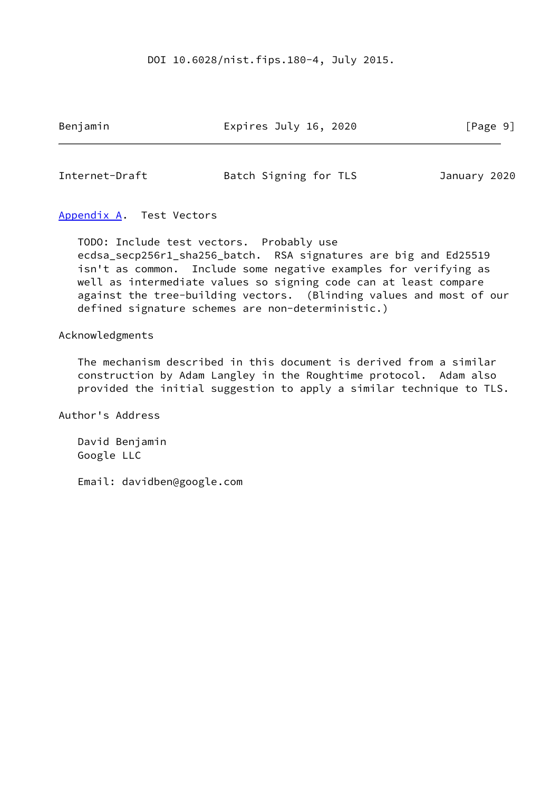#### DOI 10.6028/nist.fips.180-4, July 2015.

Benjamin **Expires July 16, 2020** [Page 9]

<span id="page-10-1"></span>Internet-Draft Batch Signing for TLS January 2020

# <span id="page-10-0"></span>[Appendix A.](#page-10-0) Test Vectors

 TODO: Include test vectors. Probably use ecdsa\_secp256r1\_sha256\_batch. RSA signatures are big and Ed25519 isn't as common. Include some negative examples for verifying as well as intermediate values so signing code can at least compare against the tree-building vectors. (Blinding values and most of our defined signature schemes are non-deterministic.)

#### Acknowledgments

 The mechanism described in this document is derived from a similar construction by Adam Langley in the Roughtime protocol. Adam also provided the initial suggestion to apply a similar technique to TLS.

Author's Address

 David Benjamin Google LLC

Email: davidben@google.com